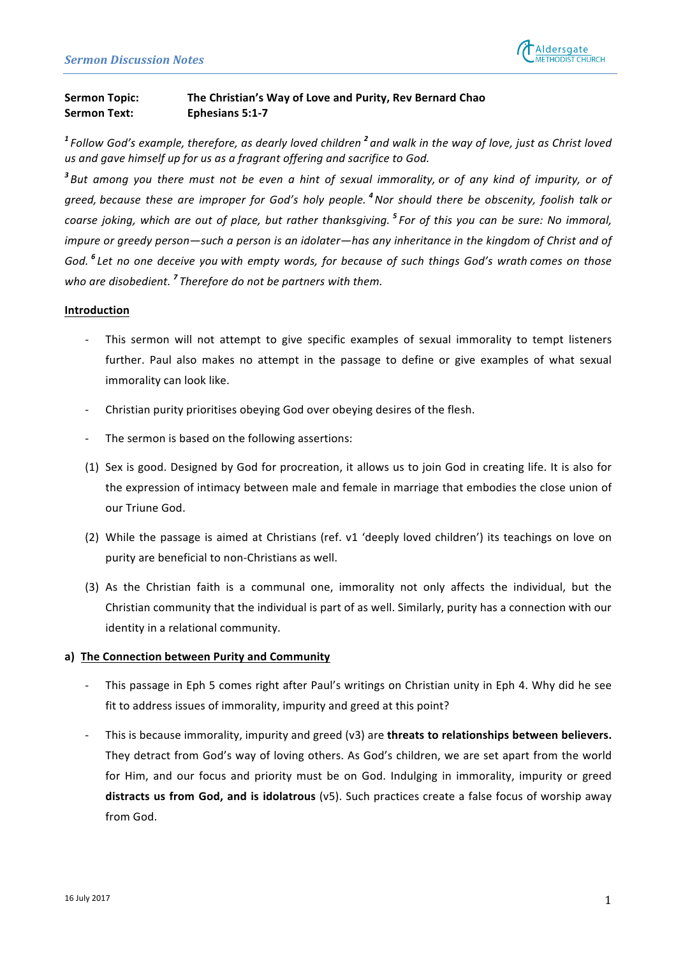

# **Sermon Topic:** The Christian's Way of Love and Purity, Rev Bernard Chao **Sermon Text: Ephesians 5:1-7**

<sup>1</sup> Follow God's example, therefore, as dearly loved children<sup>2</sup> and walk in the way of love, just as Christ loved us and gave himself up for us as a fragrant offering and sacrifice to God.

<sup>3</sup> But among you there must not be even a hint of sexual immorality, or of any kind of impurity, or of *greed,* because these are improper for God's holy people. <sup>4</sup> Nor should there be obscenity, foolish talk or *coarse joking, which are out of place, but rather thanksgiving.* <sup>5</sup> *For of this you can be sure: No immoral, impure* or greedy person—such a person is an idolater—has any inheritance in the kingdom of Christ and of *God.* <sup>6</sup> Let no one deceive you with empty words, for because of such things God's wrath comes on those who are disobedient.<sup>7</sup> Therefore do not be partners with them.

#### **Introduction**

- This sermon will not attempt to give specific examples of sexual immorality to tempt listeners further. Paul also makes no attempt in the passage to define or give examples of what sexual immorality can look like.
- Christian purity prioritises obeying God over obeying desires of the flesh.
- The sermon is based on the following assertions:
- (1) Sex is good. Designed by God for procreation, it allows us to join God in creating life. It is also for the expression of intimacy between male and female in marriage that embodies the close union of our Triune God.
- (2) While the passage is aimed at Christians (ref. v1 'deeply loved children') its teachings on love on purity are beneficial to non-Christians as well.
- (3) As the Christian faith is a communal one, immorality not only affects the individual, but the Christian community that the individual is part of as well. Similarly, purity has a connection with our identity in a relational community.

## a) The Connection between Purity and Community

- This passage in Eph 5 comes right after Paul's writings on Christian unity in Eph 4. Why did he see fit to address issues of immorality, impurity and greed at this point?
- This is because immorality, impurity and greed (v3) are **threats to relationships between believers.** They detract from God's way of loving others. As God's children, we are set apart from the world for Him, and our focus and priority must be on God. Indulging in immorality, impurity or greed distracts us from God, and is idolatrous (v5). Such practices create a false focus of worship away from God.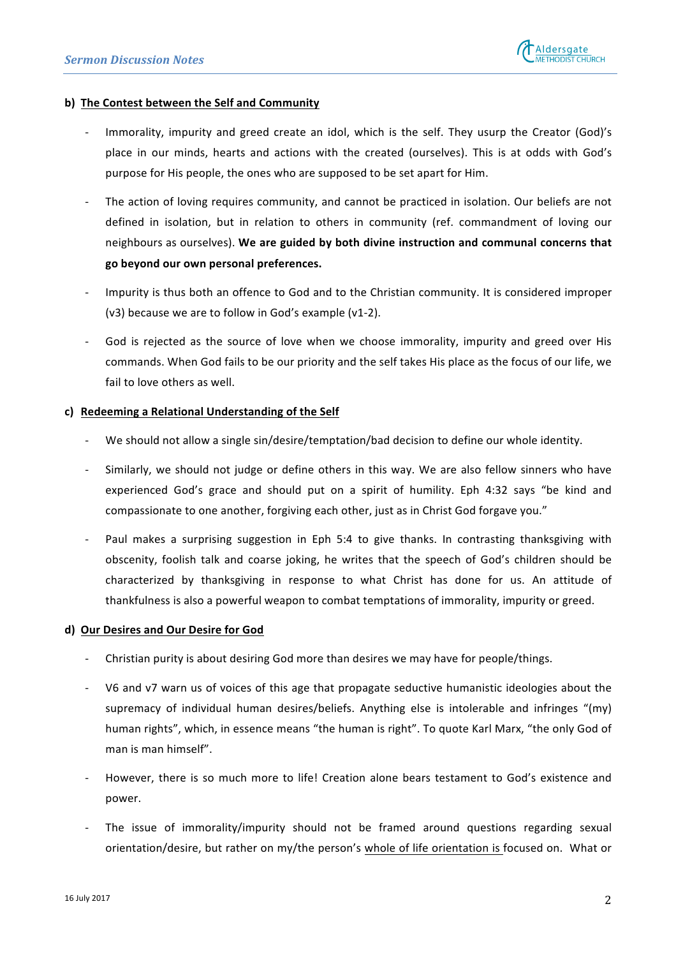## **b)** The Contest between the Self and Community

- Immorality, impurity and greed create an idol, which is the self. They usurp the Creator (God)'s place in our minds, hearts and actions with the created (ourselves). This is at odds with God's purpose for His people, the ones who are supposed to be set apart for Him.
- The action of loving requires community, and cannot be practiced in isolation. Our beliefs are not defined in isolation, but in relation to others in community (ref. commandment of loving our neighbours as ourselves). We are guided by both divine instruction and communal concerns that **go beyond our own personal preferences.**
- Impurity is thus both an offence to God and to the Christian community. It is considered improper  $(v3)$  because we are to follow in God's example  $(v1-2)$ .
- God is rejected as the source of love when we choose immorality, impurity and greed over His commands. When God fails to be our priority and the self takes His place as the focus of our life, we fail to love others as well.

## **c) Redeeming a Relational Understanding of the Self**

- We should not allow a single sin/desire/temptation/bad decision to define our whole identity.
- Similarly, we should not judge or define others in this way. We are also fellow sinners who have experienced God's grace and should put on a spirit of humility. Eph 4:32 says "be kind and compassionate to one another, forgiving each other, just as in Christ God forgave you."
- Paul makes a surprising suggestion in Eph 5:4 to give thanks. In contrasting thanksgiving with obscenity, foolish talk and coarse joking, he writes that the speech of God's children should be characterized by thanksgiving in response to what Christ has done for us. An attitude of thankfulness is also a powerful weapon to combat temptations of immorality, impurity or greed.

## **d) Our Desires and Our Desire for God**

- Christian purity is about desiring God more than desires we may have for people/things.
- V6 and v7 warn us of voices of this age that propagate seductive humanistic ideologies about the supremacy of individual human desires/beliefs. Anything else is intolerable and infringes "(my) human rights", which, in essence means "the human is right". To quote Karl Marx, "the only God of man is man himself".
- However, there is so much more to life! Creation alone bears testament to God's existence and power.
- The issue of immorality/impurity should not be framed around questions regarding sexual orientation/desire, but rather on my/the person's whole of life orientation is focused on. What or